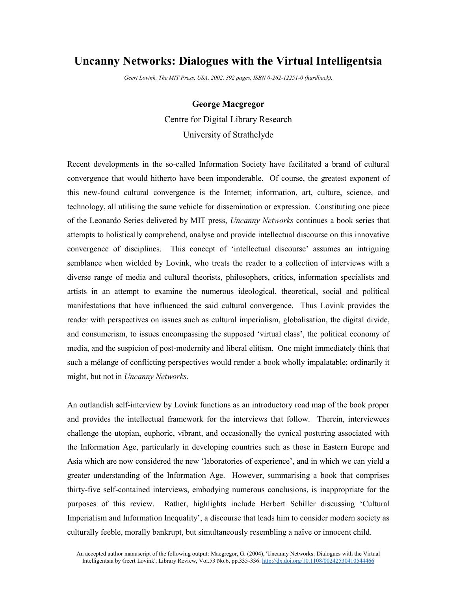## **Uncanny Networks: Dialogues with the Virtual Intelligentsia**

*Geert Lovink, The MIT Press, USA, 2002, 392 pages, ISBN 0-262-12251-0 (hardback),*

## **George Macgregor**

Centre for Digital Library Research University of Strathclyde

Recent developments in the so-called Information Society have facilitated a brand of cultural convergence that would hitherto have been imponderable. Of course, the greatest exponent of this new-found cultural convergence is the Internet; information, art, culture, science, and technology, all utilising the same vehicle for dissemination or expression. Constituting one piece of the Leonardo Series delivered by MIT press, *Uncanny Networks* continues a book series that attempts to holistically comprehend, analyse and provide intellectual discourse on this innovative convergence of disciplines. This concept of 'intellectual discourse' assumes an intriguing semblance when wielded by Lovink, who treats the reader to a collection of interviews with a diverse range of media and cultural theorists, philosophers, critics, information specialists and artists in an attempt to examine the numerous ideological, theoretical, social and political manifestations that have influenced the said cultural convergence. Thus Lovink provides the reader with perspectives on issues such as cultural imperialism, globalisation, the digital divide, and consumerism, to issues encompassing the supposed 'virtual class', the political economy of media, and the suspicion of post-modernity and liberal elitism. One might immediately think that such a mélange of conflicting perspectives would render a book wholly impalatable; ordinarily it might, but not in *Uncanny Networks*.

An outlandish self-interview by Lovink functions as an introductory road map of the book proper and provides the intellectual framework for the interviews that follow. Therein, interviewees challenge the utopian, euphoric, vibrant, and occasionally the cynical posturing associated with the Information Age, particularly in developing countries such as those in Eastern Europe and Asia which are now considered the new 'laboratories of experience', and in which we can yield a greater understanding of the Information Age. However, summarising a book that comprises thirty-five self-contained interviews, embodying numerous conclusions, is inappropriate for the purposes of this review. Rather, highlights include Herbert Schiller discussing 'Cultural Imperialism and Information Inequality', a discourse that leads him to consider modern society as culturally feeble, morally bankrupt, but simultaneously resembling a naïve or innocent child.